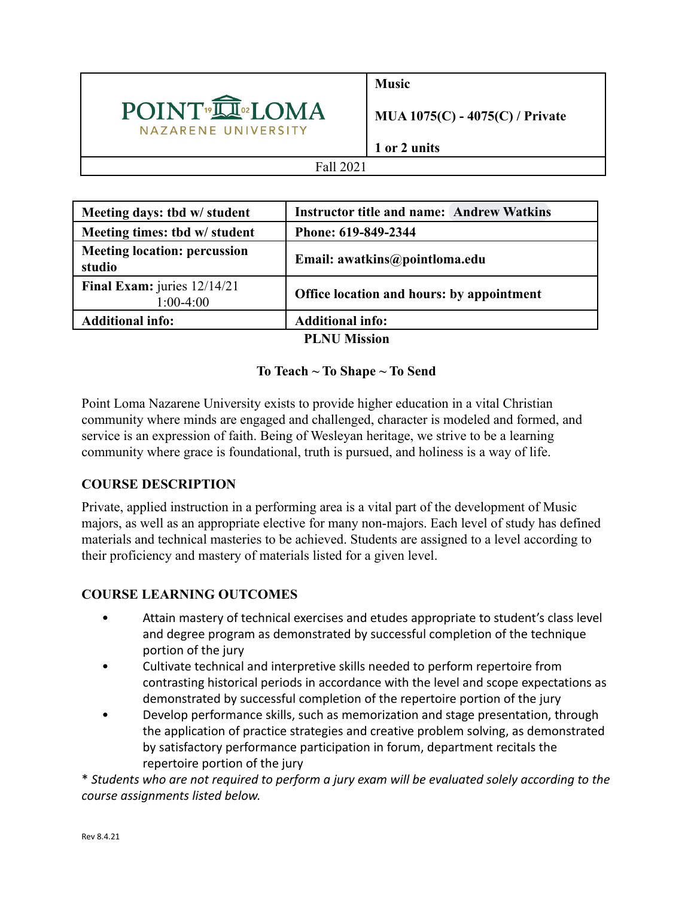

**Music**

**MUA 1075(C) - 4075(C) / Private**

**1 or 2 units**

### Fall 2021

| Meeting days: tbd w/ student                  | <b>Instructor title and name: Andrew Watkins</b> |  |  |
|-----------------------------------------------|--------------------------------------------------|--|--|
| Meeting times: tbd w/ student                 | Phone: 619-849-2344                              |  |  |
| <b>Meeting location: percussion</b><br>studio | Email: awatkins@pointloma.edu                    |  |  |
| Final Exam: juries $12/14/21$<br>$1:00-4:00$  | Office location and hours: by appointment        |  |  |
| <b>Additional info:</b>                       | <b>Additional info:</b>                          |  |  |
| DI MII M $\mathbf{L}_{\text{acc}}$            |                                                  |  |  |

### **PLNU Mission**

## **To Teach ~ To Shape ~ To Send**

Point Loma Nazarene University exists to provide higher education in a vital Christian community where minds are engaged and challenged, character is modeled and formed, and service is an expression of faith. Being of Wesleyan heritage, we strive to be a learning community where grace is foundational, truth is pursued, and holiness is a way of life.

# **COURSE DESCRIPTION**

Private, applied instruction in a performing area is a vital part of the development of Music majors, as well as an appropriate elective for many non-majors. Each level of study has defined materials and technical masteries to be achieved. Students are assigned to a level according to their proficiency and mastery of materials listed for a given level.

# **COURSE LEARNING OUTCOMES**

- Attain mastery of technical exercises and etudes appropriate to student's class level and degree program as demonstrated by successful completion of the technique portion of the jury
- Cultivate technical and interpretive skills needed to perform repertoire from contrasting historical periods in accordance with the level and scope expectations as demonstrated by successful completion of the repertoire portion of the jury
- Develop performance skills, such as memorization and stage presentation, through the application of practice strategies and creative problem solving, as demonstrated by satisfactory performance participation in forum, department recitals the repertoire portion of the jury

\* *Students who are not required to perform a jury exam will be evaluated solely according to the course assignments listed below.*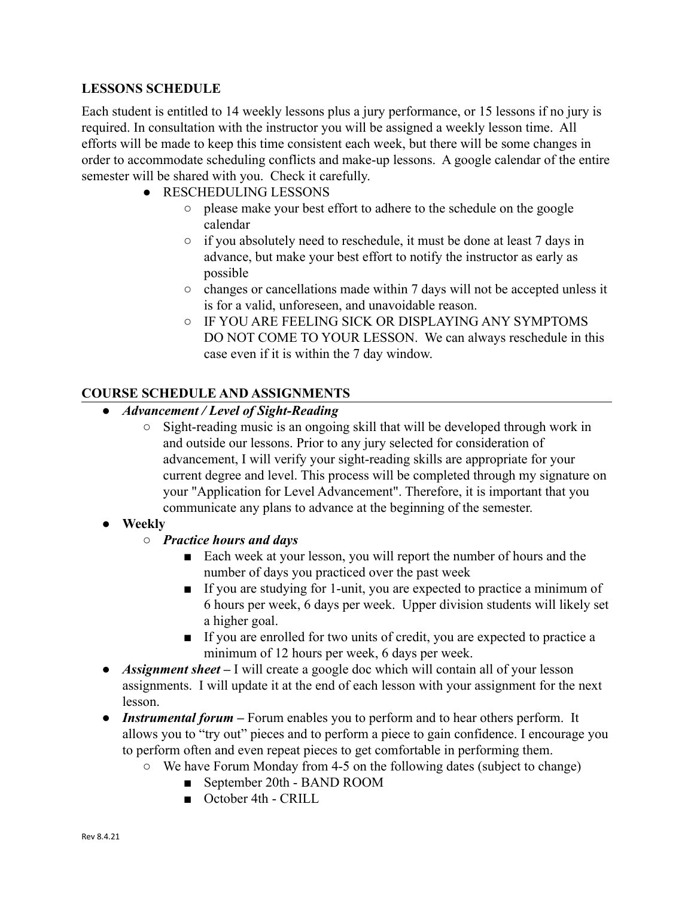### **LESSONS SCHEDULE**

Each student is entitled to 14 weekly lessons plus a jury performance, or 15 lessons if no jury is required. In consultation with the instructor you will be assigned a weekly lesson time. All efforts will be made to keep this time consistent each week, but there will be some changes in order to accommodate scheduling conflicts and make-up lessons. A google calendar of the entire semester will be shared with you. Check it carefully.

- RESCHEDULING LESSONS
	- please make your best effort to adhere to the schedule on the google calendar
	- if you absolutely need to reschedule, it must be done at least 7 days in advance, but make your best effort to notify the instructor as early as possible
	- changes or cancellations made within 7 days will not be accepted unless it is for a valid, unforeseen, and unavoidable reason.
	- IF YOU ARE FEELING SICK OR DISPLAYING ANY SYMPTOMS DO NOT COME TO YOUR LESSON. We can always reschedule in this case even if it is within the 7 day window.

## **COURSE SCHEDULE AND ASSIGNMENTS**

- *● Advancement / Level of Sight-Reading*
	- Sight-reading music is an ongoing skill that will be developed through work in and outside our lessons. Prior to any jury selected for consideration of advancement, I will verify your sight-reading skills are appropriate for your current degree and level. This process will be completed through my signature on your "Application for Level Advancement". Therefore, it is important that you communicate any plans to advance at the beginning of the semester.
- **● Weekly**
	- *○ Practice hours and days*
		- Each week at your lesson, you will report the number of hours and the number of days you practiced over the past week
		- If you are studying for 1-unit, you are expected to practice a minimum of 6 hours per week, 6 days per week. Upper division students will likely set a higher goal.
		- If you are enrolled for two units of credit, you are expected to practice a minimum of 12 hours per week, 6 days per week.
- *Assignment sheet* I will create a google doc which will contain all of your lesson assignments. I will update it at the end of each lesson with your assignment for the next lesson.
- *Instrumental forum* Forum enables you to perform and to hear others perform. It allows you to "try out" pieces and to perform a piece to gain confidence. I encourage you to perform often and even repeat pieces to get comfortable in performing them.
	- We have Forum Monday from 4-5 on the following dates (subject to change)
		- September 20th BAND ROOM
		- October 4th CRILL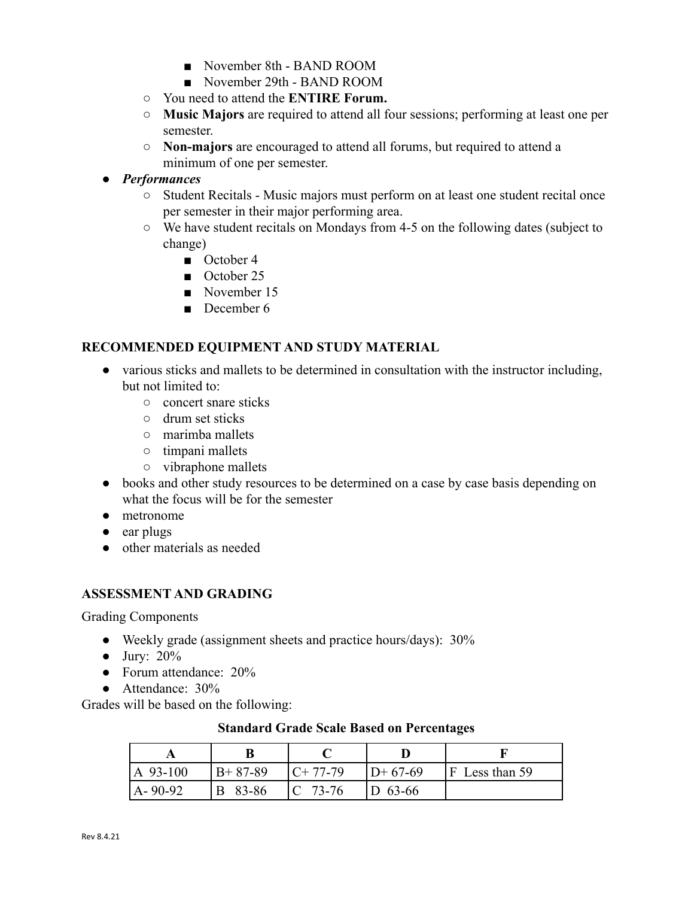- November 8th BAND ROOM
- November 29th BAND ROOM
- You need to attend the **ENTIRE Forum.**
- **Music Majors** are required to attend all four sessions; performing at least one per semester.
- **Non-majors** are encouraged to attend all forums, but required to attend a minimum of one per semester.

## *● Performances*

- **○** Student Recitals Music majors must perform on at least one student recital once per semester in their major performing area.
- **○** We have student recitals on Mondays from 4-5 on the following dates (subject to change)
	- October 4
	- October 25
	- November 15
	- December 6

### **RECOMMENDED EQUIPMENT AND STUDY MATERIAL**

- various sticks and mallets to be determined in consultation with the instructor including, but not limited to:
	- concert snare sticks
	- drum set sticks
	- marimba mallets
	- timpani mallets
	- vibraphone mallets
- books and other study resources to be determined on a case by case basis depending on what the focus will be for the semester
- metronome
- ear plugs
- other materials as needed

#### **ASSESSMENT AND GRADING**

Grading Components

- Weekly grade (assignment sheets and practice hours/days): 30%
- $\bullet$  Jury: 20%
- Forum attendance: 20%
- **●** Attendance: 30%

Grades will be based on the following:

#### **Standard Grade Scale Based on Percentages**

| $ A\ 93-100\rangle$ | $B+87-89$ | $C+77-79$  | $D+67-69$ | $ F $ Less than 59 |
|---------------------|-----------|------------|-----------|--------------------|
| $A - 90 - 92$       | B 83-86   | $ C 73-76$ | $D$ 63-66 |                    |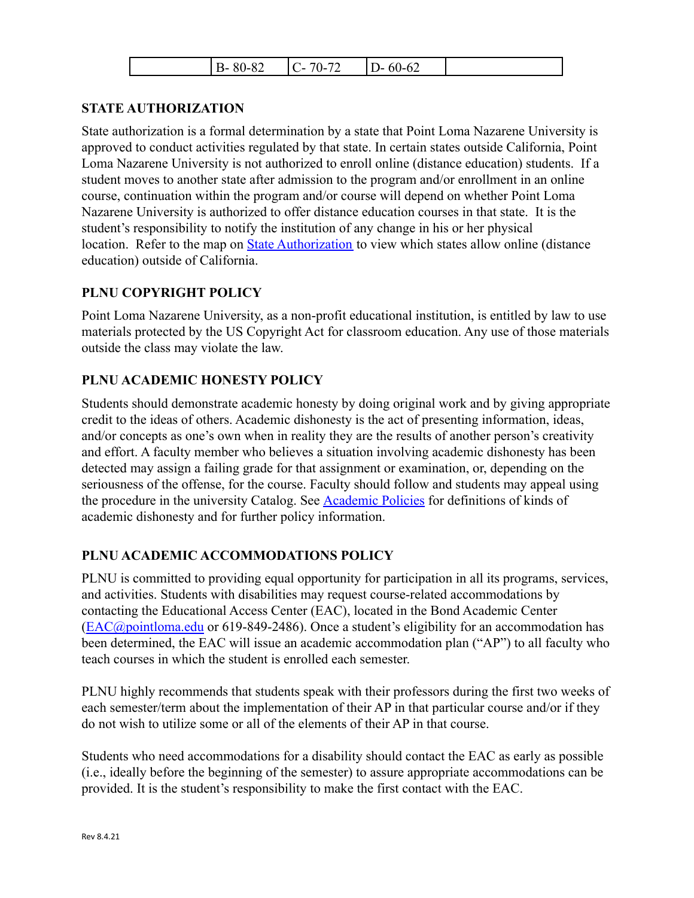| $\Omega$<br>- -<br>$\overline{ }$<br>-<br>$\sim$ $\sim$<br>$\sim$<br>ш<br>╮<br>. .<br>. .<br>.<br>◡∠<br>◡<br>,,,,<br>◡▱<br>∽<br>້<br>,,,,<br>. .<br> |  |
|------------------------------------------------------------------------------------------------------------------------------------------------------|--|
|------------------------------------------------------------------------------------------------------------------------------------------------------|--|

## **STATE AUTHORIZATION**

State authorization is a formal determination by a state that Point Loma Nazarene University is approved to conduct activities regulated by that state. In certain states outside California, Point Loma Nazarene University is not authorized to enroll online (distance education) students. If a student moves to another state after admission to the program and/or enrollment in an online course, continuation within the program and/or course will depend on whether Point Loma Nazarene University is authorized to offer distance education courses in that state. It is the student's responsibility to notify the institution of any change in his or her physical location. Refer to the map on **[State Authorization](https://www.pointloma.edu/offices/office-institutional-effectiveness-research/disclosures)** to view which states allow online (distance education) outside of California.

## **PLNU COPYRIGHT POLICY**

Point Loma Nazarene University, as a non-profit educational institution, is entitled by law to use materials protected by the US Copyright Act for classroom education. Any use of those materials outside the class may violate the law.

### **PLNU ACADEMIC HONESTY POLICY**

Students should demonstrate academic honesty by doing original work and by giving appropriate credit to the ideas of others. Academic dishonesty is the act of presenting information, ideas, and/or concepts as one's own when in reality they are the results of another person's creativity and effort. A faculty member who believes a situation involving academic dishonesty has been detected may assign a failing grade for that assignment or examination, or, depending on the seriousness of the offense, for the course. Faculty should follow and students may appeal using the procedure in the university Catalog. See [Academic](https://catalog.pointloma.edu/content.php?catoid=52&navoid=2919#Academic_Honesty) Policies for definitions of kinds of academic dishonesty and for further policy information.

## **PLNU ACADEMIC ACCOMMODATIONS POLICY**

PLNU is committed to providing equal opportunity for participation in all its programs, services, and activities. Students with disabilities may request course-related accommodations by contacting the Educational Access Center (EAC), located in the Bond Academic Center ([EAC@pointloma.edu](mailto:EAC@pointloma.edu) or 619-849-2486). Once a student's eligibility for an accommodation has been determined, the EAC will issue an academic accommodation plan ("AP") to all faculty who teach courses in which the student is enrolled each semester.

PLNU highly recommends that students speak with their professors during the first two weeks of each semester/term about the implementation of their AP in that particular course and/or if they do not wish to utilize some or all of the elements of their AP in that course.

Students who need accommodations for a disability should contact the EAC as early as possible (i.e., ideally before the beginning of the semester) to assure appropriate accommodations can be provided. It is the student's responsibility to make the first contact with the EAC.